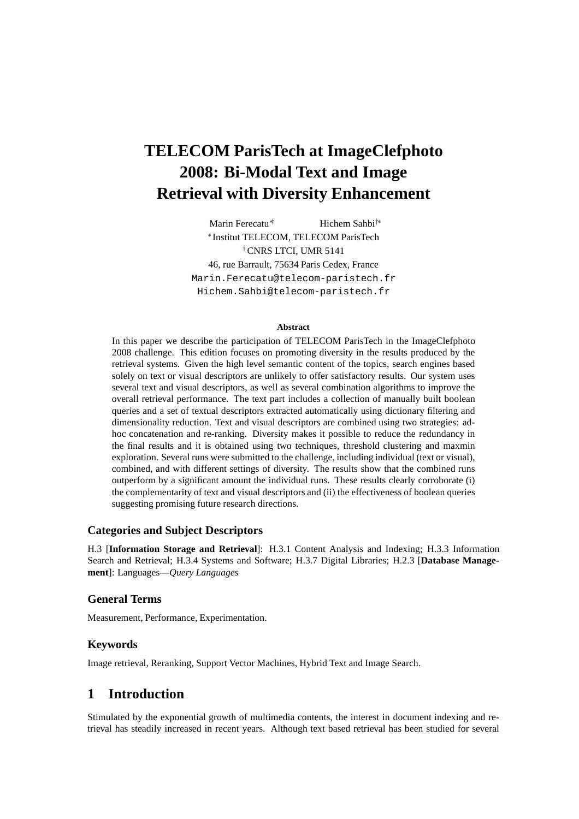# **TELECOM ParisTech at ImageClefphoto 2008: Bi-Modal Text and Image Retrieval with Diversity Enhancement**

Marin Ferecatu∗† Hichem Sahbi†∗ ∗ Institut TELECOM, TELECOM ParisTech †CNRS LTCI, UMR 5141 46, rue Barrault, 75634 Paris Cedex, France Marin.Ferecatu@telecom-paristech.fr Hichem.Sahbi@telecom-paristech.fr

#### **Abstract**

In this paper we describe the participation of TELECOM ParisTech in the ImageClefphoto 2008 challenge. This edition focuses on promoting diversity in the results produced by the retrieval systems. Given the high level semantic content of the topics, search engines based solely on text or visual descriptors are unlikely to offer satisfactory results. Our system uses several text and visual descriptors, as well as several combination algorithms to improve the overall retrieval performance. The text part includes a collection of manually built boolean queries and a set of textual descriptors extracted automatically using dictionary filtering and dimensionality reduction. Text and visual descriptors are combined using two strategies: adhoc concatenation and re-ranking. Diversity makes it possible to reduce the redundancy in the final results and it is obtained using two techniques, threshold clustering and maxmin exploration. Several runs were submitted to the challenge, including individual (text or visual), combined, and with different settings of diversity. The results show that the combined runs outperform by a significant amount the individual runs. These results clearly corroborate (i) the complementarity of text and visual descriptors and (ii) the effectiveness of boolean queries suggesting promising future research directions.

### **Categories and Subject Descriptors**

H.3 [**Information Storage and Retrieval**]: H.3.1 Content Analysis and Indexing; H.3.3 Information Search and Retrieval; H.3.4 Systems and Software; H.3.7 Digital Libraries; H.2.3 [**Database Management**]: Languages—*Query Languages*

### **General Terms**

Measurement, Performance, Experimentation.

### **Keywords**

Image retrieval, Reranking, Support Vector Machines, Hybrid Text and Image Search.

# **1 Introduction**

Stimulated by the exponential growth of multimedia contents, the interest in document indexing and retrieval has steadily increased in recent years. Although text based retrieval has been studied for several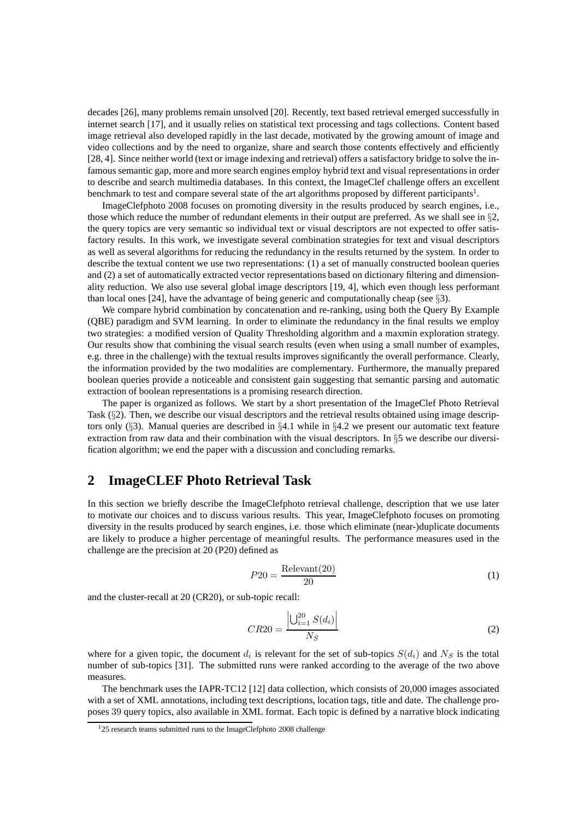decades [26], many problems remain unsolved [20]. Recently, text based retrieval emerged successfully in internet search [17], and it usually relies on statistical text processing and tags collections. Content based image retrieval also developed rapidly in the last decade, motivated by the growing amount of image and video collections and by the need to organize, share and search those contents effectively and efficiently [28, 4]. Since neither world (text or image indexing and retrieval) offers a satisfactory bridge to solve the infamous semantic gap, more and more search engines employ hybrid text and visual representations in order to describe and search multimedia databases. In this context, the ImageClef challenge offers an excellent benchmark to test and compare several state of the art algorithms proposed by different participants<sup>1</sup>.

ImageClefphoto 2008 focuses on promoting diversity in the results produced by search engines, i.e., those which reduce the number of redundant elements in their output are preferred. As we shall see in  $\S$ 2, the query topics are very semantic so individual text or visual descriptors are not expected to offer satisfactory results. In this work, we investigate several combination strategies for text and visual descriptors as well as several algorithms for reducing the redundancy in the results returned by the system. In order to describe the textual content we use two representations: (1) a set of manually constructed boolean queries and (2) a set of automatically extracted vector representations based on dictionary filtering and dimensionality reduction. We also use several global image descriptors [19, 4], which even though less performant than local ones [24], have the advantage of being generic and computationally cheap (see §3).

We compare hybrid combination by concatenation and re-ranking, using both the Query By Example (QBE) paradigm and SVM learning. In order to eliminate the redundancy in the final results we employ two strategies: a modified version of Quality Thresholding algorithm and a maxmin exploration strategy. Our results show that combining the visual search results (even when using a small number of examples, e.g. three in the challenge) with the textual results improves significantly the overall performance. Clearly, the information provided by the two modalities are complementary. Furthermore, the manually prepared boolean queries provide a noticeable and consistent gain suggesting that semantic parsing and automatic extraction of boolean representations is a promising research direction.

The paper is organized as follows. We start by a short presentation of the ImageClef Photo Retrieval Task  $(\S 2)$ . Then, we describe our visual descriptors and the retrieval results obtained using image descriptors only (§3). Manual queries are described in §4.1 while in §4.2 we present our automatic text feature extraction from raw data and their combination with the visual descriptors. In §5 we describe our diversification algorithm; we end the paper with a discussion and concluding remarks.

# **2 ImageCLEF Photo Retrieval Task**

In this section we briefly describe the ImageClefphoto retrieval challenge, description that we use later to motivate our choices and to discuss various results. This year, ImageClefphoto focuses on promoting diversity in the results produced by search engines, i.e. those which eliminate (near-)duplicate documents are likely to produce a higher percentage of meaningful results. The performance measures used in the challenge are the precision at 20 (P20) defined as

$$
P20 = \frac{\text{Relevant}(20)}{20} \tag{1}
$$

and the cluster-recall at 20 (CR20), or sub-topic recall:

$$
CR20 = \frac{\left| \bigcup_{i=1}^{20} S(d_i) \right|}{N_S} \tag{2}
$$

where for a given topic, the document  $d_i$  is relevant for the set of sub-topics  $S(d_i)$  and  $N_S$  is the total number of sub-topics [31]. The submitted runs were ranked according to the average of the two above measures.

The benchmark uses the IAPR-TC12 [12] data collection, which consists of 20,000 images associated with a set of XML annotations, including text descriptions, location tags, title and date. The challenge proposes 39 query topics, also available in XML format. Each topic is defined by a narrative block indicating

 $125$  research teams submitted runs to the ImageClefphoto 2008 challenge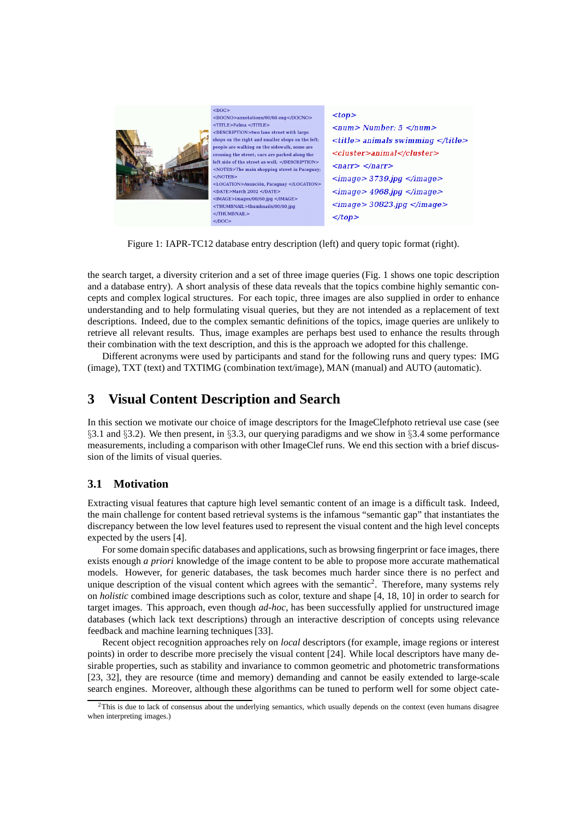

Figure 1: IAPR-TC12 database entry description (left) and query topic format (right).

the search target, a diversity criterion and a set of three image queries (Fig. 1 shows one topic description and a database entry). A short analysis of these data reveals that the topics combine highly semantic concepts and complex logical structures. For each topic, three images are also supplied in order to enhance understanding and to help formulating visual queries, but they are not intended as a replacement of text descriptions. Indeed, due to the complex semantic definitions of the topics, image queries are unlikely to retrieve all relevant results. Thus, image examples are perhaps best used to enhance the results through their combination with the text description, and this is the approach we adopted for this challenge.

Different acronyms were used by participants and stand for the following runs and query types: IMG (image), TXT (text) and TXTIMG (combination text/image), MAN (manual) and AUTO (automatic).

# **3 Visual Content Description and Search**

In this section we motivate our choice of image descriptors for the ImageClefphoto retrieval use case (see §3.1 and §3.2). We then present, in §3.3, our querying paradigms and we show in §3.4 some performance measurements, including a comparison with other ImageClef runs. We end this section with a brief discussion of the limits of visual queries.

# **3.1 Motivation**

Extracting visual features that capture high level semantic content of an image is a difficult task. Indeed, the main challenge for content based retrieval systems is the infamous "semantic gap" that instantiates the discrepancy between the low level features used to represent the visual content and the high level concepts expected by the users [4].

For some domain specific databases and applications, such as browsing fingerprint or face images, there exists enough *a priori* knowledge of the image content to be able to propose more accurate mathematical models. However, for generic databases, the task becomes much harder since there is no perfect and unique description of the visual content which agrees with the semantic<sup>2</sup>. Therefore, many systems rely on *holistic* combined image descriptions such as color, texture and shape [4, 18, 10] in order to search for target images. This approach, even though *ad-hoc*, has been successfully applied for unstructured image databases (which lack text descriptions) through an interactive description of concepts using relevance feedback and machine learning techniques [33].

Recent object recognition approaches rely on *local* descriptors (for example, image regions or interest points) in order to describe more precisely the visual content [24]. While local descriptors have many desirable properties, such as stability and invariance to common geometric and photometric transformations [23, 32], they are resource (time and memory) demanding and cannot be easily extended to large-scale search engines. Moreover, although these algorithms can be tuned to perform well for some object cate-

 $2$ This is due to lack of consensus about the underlying semantics, which usually depends on the context (even humans disagree when interpreting images.)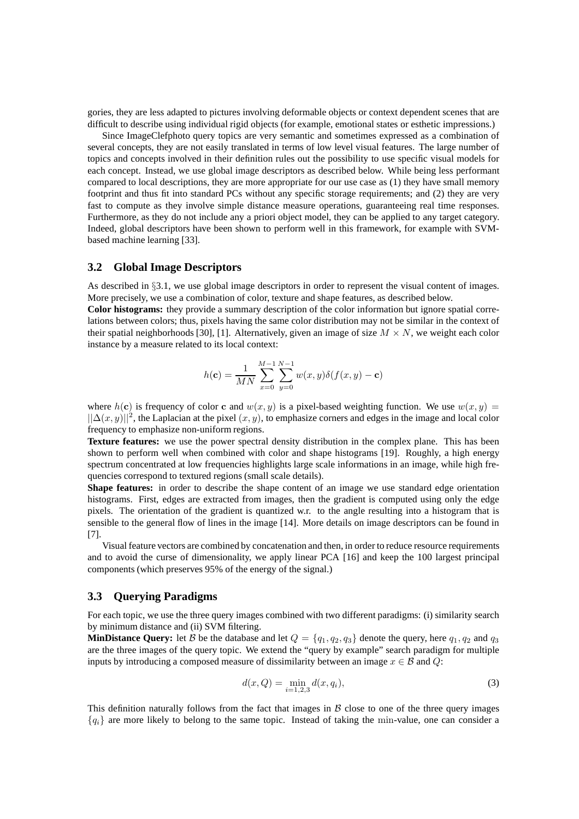gories, they are less adapted to pictures involving deformable objects or context dependent scenes that are difficult to describe using individual rigid objects (for example, emotional states or esthetic impressions.)

Since ImageClefphoto query topics are very semantic and sometimes expressed as a combination of several concepts, they are not easily translated in terms of low level visual features. The large number of topics and concepts involved in their definition rules out the possibility to use specific visual models for each concept. Instead, we use global image descriptors as described below. While being less performant compared to local descriptions, they are more appropriate for our use case as (1) they have small memory footprint and thus fit into standard PCs without any specific storage requirements; and (2) they are very fast to compute as they involve simple distance measure operations, guaranteeing real time responses. Furthermore, as they do not include any a priori object model, they can be applied to any target category. Indeed, global descriptors have been shown to perform well in this framework, for example with SVMbased machine learning [33].

#### **3.2 Global Image Descriptors**

As described in §3.1, we use global image descriptors in order to represent the visual content of images. More precisely, we use a combination of color, texture and shape features, as described below.

**Color histograms:** they provide a summary description of the color information but ignore spatial correlations between colors; thus, pixels having the same color distribution may not be similar in the context of their spatial neighborhoods [30], [1]. Alternatively, given an image of size  $M \times N$ , we weight each color instance by a measure related to its local context:

$$
h(\mathbf{c}) = \frac{1}{MN} \sum_{x=0}^{M-1} \sum_{y=0}^{N-1} w(x, y) \delta(f(x, y) - \mathbf{c})
$$

where  $h(c)$  is frequency of color c and  $w(x, y)$  is a pixel-based weighting function. We use  $w(x, y)$  =  $||\Delta(x, y)||^2$ , the Laplacian at the pixel  $(x, y)$ , to emphasize corners and edges in the image and local color frequency to emphasize non-uniform regions.

**Texture features:** we use the power spectral density distribution in the complex plane. This has been shown to perform well when combined with color and shape histograms [19]. Roughly, a high energy spectrum concentrated at low frequencies highlights large scale informations in an image, while high frequencies correspond to textured regions (small scale details).

**Shape features:** in order to describe the shape content of an image we use standard edge orientation histograms. First, edges are extracted from images, then the gradient is computed using only the edge pixels. The orientation of the gradient is quantized w.r. to the angle resulting into a histogram that is sensible to the general flow of lines in the image [14]. More details on image descriptors can be found in [7].

Visual feature vectors are combined by concatenation and then, in order to reduce resource requirements and to avoid the curse of dimensionality, we apply linear PCA [16] and keep the 100 largest principal components (which preserves 95% of the energy of the signal.)

### **3.3 Querying Paradigms**

For each topic, we use the three query images combined with two different paradigms: (i) similarity search by minimum distance and (ii) SVM filtering.

**MinDistance Query:** let B be the database and let  $Q = \{q_1, q_2, q_3\}$  denote the query, here  $q_1, q_2$  and  $q_3$ are the three images of the query topic. We extend the "query by example" search paradigm for multiple inputs by introducing a composed measure of dissimilarity between an image  $x \in \mathcal{B}$  and  $Q$ :

$$
d(x, Q) = \min_{i=1,2,3} d(x, q_i),
$$
\n(3)

This definition naturally follows from the fact that images in  $\beta$  close to one of the three query images  ${q_i}$  are more likely to belong to the same topic. Instead of taking the min-value, one can consider a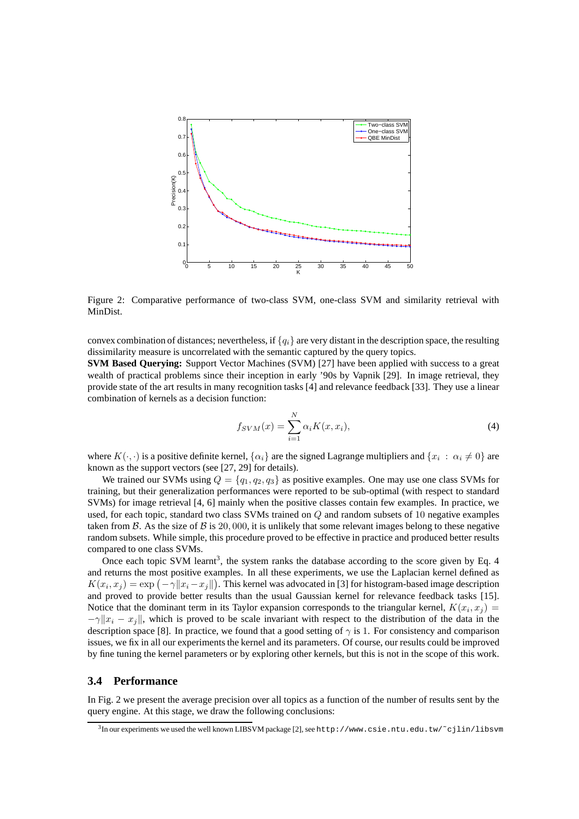

Figure 2: Comparative performance of two-class SVM, one-class SVM and similarity retrieval with MinDist.

convex combination of distances; nevertheless, if  ${q_i}$  are very distant in the description space, the resulting dissimilarity measure is uncorrelated with the semantic captured by the query topics.

**SVM Based Querying:** Support Vector Machines (SVM) [27] have been applied with success to a great wealth of practical problems since their inception in early '90s by Vapnik [29]. In image retrieval, they provide state of the art results in many recognition tasks [4] and relevance feedback [33]. They use a linear combination of kernels as a decision function:

$$
f_{SVM}(x) = \sum_{i=1}^{N} \alpha_i K(x, x_i),
$$
\n(4)

where  $K(\cdot, \cdot)$  is a positive definite kernel,  $\{\alpha_i\}$  are the signed Lagrange multipliers and  $\{x_i : \alpha_i \neq 0\}$  are known as the support vectors (see [27, 29] for details).

We trained our SVMs using  $Q = \{q_1, q_2, q_3\}$  as positive examples. One may use one class SVMs for training, but their generalization performances were reported to be sub-optimal (with respect to standard SVMs) for image retrieval [4, 6] mainly when the positive classes contain few examples. In practice, we used, for each topic, standard two class SVMs trained on  $Q$  and random subsets of 10 negative examples taken from  $\beta$ . As the size of  $\beta$  is 20,000, it is unlikely that some relevant images belong to these negative random subsets. While simple, this procedure proved to be effective in practice and produced better results compared to one class SVMs.

Once each topic SVM learnt<sup>3</sup>, the system ranks the database according to the score given by Eq. 4 and returns the most positive examples. In all these experiments, we use the Laplacian kernel defined as  $K(x_i, x_j) = \exp(-\gamma \|x_i - x_j\|)$ . This kernel was advocated in [3] for histogram-based image description and proved to provide better results than the usual Gaussian kernel for relevance feedback tasks [15]. Notice that the dominant term in its Taylor expansion corresponds to the triangular kernel,  $K(x_i, x_j) =$  $-\gamma ||x_i - x_j||$ , which is proved to be scale invariant with respect to the distribution of the data in the description space [8]. In practice, we found that a good setting of  $\gamma$  is 1. For consistency and comparison issues, we fix in all our experiments the kernel and its parameters. Of course, our results could be improved by fine tuning the kernel parameters or by exploring other kernels, but this is not in the scope of this work.

### **3.4 Performance**

In Fig. 2 we present the average precision over all topics as a function of the number of results sent by the query engine. At this stage, we draw the following conclusions:

 $^3$ In our experiments we used the well known LIBSVM package [2], see http://www.csie.ntu.edu.tw/~cjlin/libsvm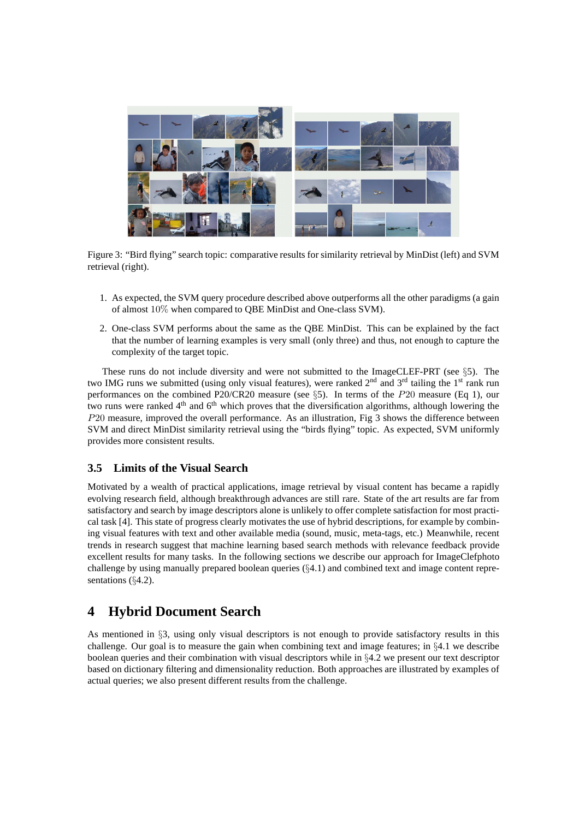

Figure 3: "Bird flying" search topic: comparative results for similarity retrieval by MinDist (left) and SVM retrieval (right).

- 1. As expected, the SVM query procedure described above outperforms all the other paradigms (a gain of almost 10% when compared to QBE MinDist and One-class SVM).
- 2. One-class SVM performs about the same as the QBE MinDist. This can be explained by the fact that the number of learning examples is very small (only three) and thus, not enough to capture the complexity of the target topic.

These runs do not include diversity and were not submitted to the ImageCLEF-PRT (see §5). The two IMG runs we submitted (using only visual features), were ranked 2<sup>nd</sup> and 3<sup>rd</sup> tailing the 1<sup>st</sup> rank run performances on the combined P20/CR20 measure (see §5). In terms of the P20 measure (Eq 1), our two runs were ranked  $4<sup>th</sup>$  and  $6<sup>th</sup>$  which proves that the diversification algorithms, although lowering the P20 measure, improved the overall performance. As an illustration, Fig 3 shows the difference between SVM and direct MinDist similarity retrieval using the "birds flying" topic. As expected, SVM uniformly provides more consistent results.

# **3.5 Limits of the Visual Search**

Motivated by a wealth of practical applications, image retrieval by visual content has became a rapidly evolving research field, although breakthrough advances are still rare. State of the art results are far from satisfactory and search by image descriptors alone is unlikely to offer complete satisfaction for most practical task [4]. This state of progress clearly motivates the use of hybrid descriptions, for example by combining visual features with text and other available media (sound, music, meta-tags, etc.) Meanwhile, recent trends in research suggest that machine learning based search methods with relevance feedback provide excellent results for many tasks. In the following sections we describe our approach for ImageClefphoto challenge by using manually prepared boolean queries (§4.1) and combined text and image content representations (§4.2).

# **4 Hybrid Document Search**

As mentioned in §3, using only visual descriptors is not enough to provide satisfactory results in this challenge. Our goal is to measure the gain when combining text and image features; in §4.1 we describe boolean queries and their combination with visual descriptors while in §4.2 we present our text descriptor based on dictionary filtering and dimensionality reduction. Both approaches are illustrated by examples of actual queries; we also present different results from the challenge.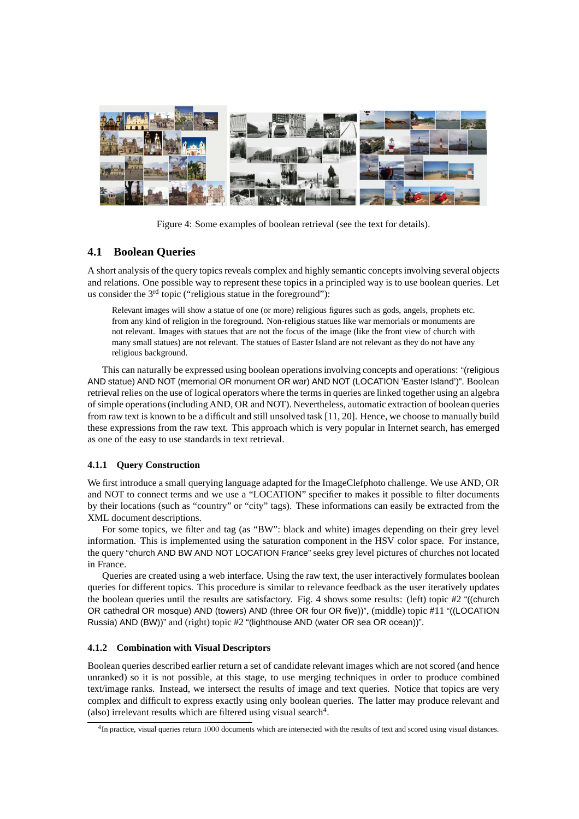

Figure 4: Some examples of boolean retrieval (see the text for details).

# **4.1 Boolean Queries**

A short analysis of the query topics reveals complex and highly semantic concepts involving several objects and relations. One possible way to represent these topics in a principled way is to use boolean queries. Let us consider the  $3<sup>rd</sup>$  topic ("religious statue in the foreground"):

Relevant images will show a statue of one (or more) religious figures such as gods, angels, prophets etc. from any kind of religion in the foreground. Non-religious statues like war memorials or monuments are not relevant. Images with statues that are not the focus of the image (like the front view of church with many small statues) are not relevant. The statues of Easter Island are not relevant as they do not have any religious background.

This can naturally be expressed using boolean operations involving concepts and operations: "(religious AND statue) AND NOT (memorial OR monument OR war) AND NOT (LOCATION 'Easter Island')". Boolean retrieval relies on the use of logical operators where the terms in queries are linked together using an algebra of simple operations (including AND, OR and NOT). Nevertheless, automatic extraction of boolean queries from raw text is known to be a difficult and still unsolved task [11, 20]. Hence, we choose to manually build these expressions from the raw text. This approach which is very popular in Internet search, has emerged as one of the easy to use standards in text retrieval.

#### **4.1.1 Query Construction**

We first introduce a small querying language adapted for the ImageClefphoto challenge. We use AND, OR and NOT to connect terms and we use a "LOCATION" specifier to makes it possible to filter documents by their locations (such as "country" or "city" tags). These informations can easily be extracted from the XML document descriptions.

For some topics, we filter and tag (as "BW": black and white) images depending on their grey level information. This is implemented using the saturation component in the HSV color space. For instance, the query "church AND BW AND NOT LOCATION France" seeks grey level pictures of churches not located in France.

Queries are created using a web interface. Using the raw text, the user interactively formulates boolean queries for different topics. This procedure is similar to relevance feedback as the user iteratively updates the boolean queries until the results are satisfactory. Fig. 4 shows some results: (left) topic #2 "((church OR cathedral OR mosque) AND (towers) AND (three OR four OR five))", (middle) topic #11 "((LOCATION Russia) AND (BW))" and (right) topic #2 "(lighthouse AND (water OR sea OR ocean))".

#### **4.1.2 Combination with Visual Descriptors**

Boolean queries described earlier return a set of candidate relevant images which are not scored (and hence unranked) so it is not possible, at this stage, to use merging techniques in order to produce combined text/image ranks. Instead, we intersect the results of image and text queries. Notice that topics are very complex and difficult to express exactly using only boolean queries. The latter may produce relevant and (also) irrelevant results which are filtered using visual search<sup>4</sup>.

<sup>&</sup>lt;sup>4</sup>In practice, visual queries return 1000 documents which are intersected with the results of text and scored using visual distances.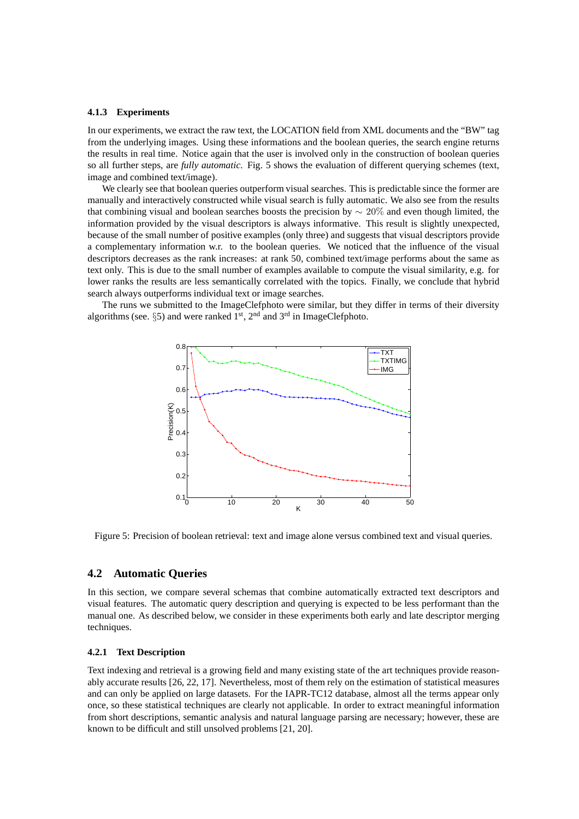#### **4.1.3 Experiments**

In our experiments, we extract the raw text, the LOCATION field from XML documents and the "BW" tag from the underlying images. Using these informations and the boolean queries, the search engine returns the results in real time. Notice again that the user is involved only in the construction of boolean queries so all further steps, are *fully automatic*. Fig. 5 shows the evaluation of different querying schemes (text, image and combined text/image).

We clearly see that boolean queries outperform visual searches. This is predictable since the former are manually and interactively constructed while visual search is fully automatic. We also see from the results that combining visual and boolean searches boosts the precision by  $\sim 20\%$  and even though limited, the information provided by the visual descriptors is always informative. This result is slightly unexpected, because of the small number of positive examples (only three) and suggests that visual descriptors provide a complementary information w.r. to the boolean queries. We noticed that the influence of the visual descriptors decreases as the rank increases: at rank 50, combined text/image performs about the same as text only. This is due to the small number of examples available to compute the visual similarity, e.g. for lower ranks the results are less semantically correlated with the topics. Finally, we conclude that hybrid search always outperforms individual text or image searches.

The runs we submitted to the ImageClefphoto were similar, but they differ in terms of their diversity algorithms (see.  $\S5$ ) and were ranked  $1<sup>st</sup>$ ,  $2<sup>nd</sup>$  and  $3<sup>rd</sup>$  in ImageClefphoto.



Figure 5: Precision of boolean retrieval: text and image alone versus combined text and visual queries.

#### **4.2 Automatic Queries**

In this section, we compare several schemas that combine automatically extracted text descriptors and visual features. The automatic query description and querying is expected to be less performant than the manual one. As described below, we consider in these experiments both early and late descriptor merging techniques.

#### **4.2.1 Text Description**

Text indexing and retrieval is a growing field and many existing state of the art techniques provide reasonably accurate results [26, 22, 17]. Nevertheless, most of them rely on the estimation of statistical measures and can only be applied on large datasets. For the IAPR-TC12 database, almost all the terms appear only once, so these statistical techniques are clearly not applicable. In order to extract meaningful information from short descriptions, semantic analysis and natural language parsing are necessary; however, these are known to be difficult and still unsolved problems [21, 20].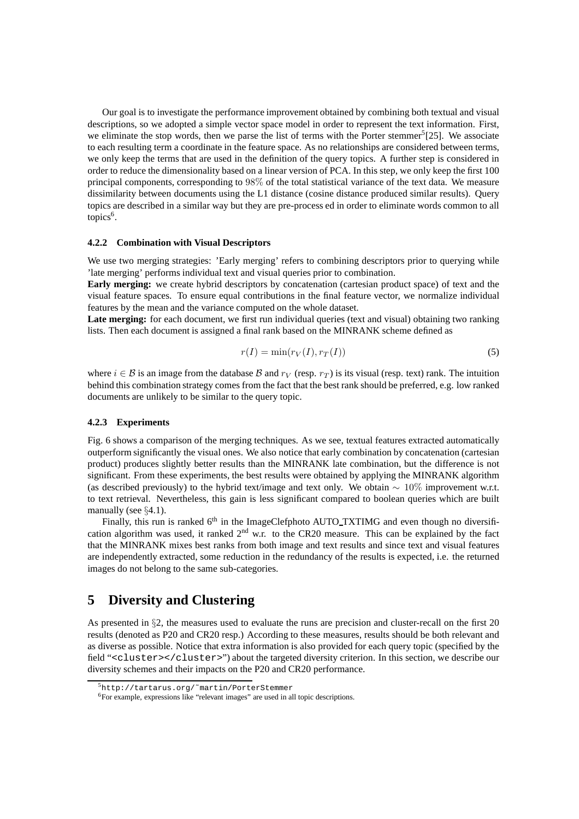Our goal is to investigate the performance improvement obtained by combining both textual and visual descriptions, so we adopted a simple vector space model in order to represent the text information. First, we eliminate the stop words, then we parse the list of terms with the Porter stemmer<sup>5</sup>[25]. We associate to each resulting term a coordinate in the feature space. As no relationships are considered between terms, we only keep the terms that are used in the definition of the query topics. A further step is considered in order to reduce the dimensionality based on a linear version of PCA. In this step, we only keep the first 100 principal components, corresponding to 98% of the total statistical variance of the text data. We measure dissimilarity between documents using the L1 distance (cosine distance produced similar results). Query topics are described in a similar way but they are pre-process ed in order to eliminate words common to all topics<sup>6</sup>.

#### **4.2.2 Combination with Visual Descriptors**

We use two merging strategies: 'Early merging' refers to combining descriptors prior to querying while 'late merging' performs individual text and visual queries prior to combination.

**Early merging:** we create hybrid descriptors by concatenation (cartesian product space) of text and the visual feature spaces. To ensure equal contributions in the final feature vector, we normalize individual features by the mean and the variance computed on the whole dataset.

Late merging: for each document, we first run individual queries (text and visual) obtaining two ranking lists. Then each document is assigned a final rank based on the MINRANK scheme defined as

$$
r(I) = \min(r_V(I), r_T(I))
$$
\n(5)

where  $i \in \mathcal{B}$  is an image from the database  $\mathcal{B}$  and  $r_V$  (resp.  $r_T$ ) is its visual (resp. text) rank. The intuition behind this combination strategy comes from the fact that the best rank should be preferred, e.g. low ranked documents are unlikely to be similar to the query topic.

#### **4.2.3 Experiments**

Fig. 6 shows a comparison of the merging techniques. As we see, textual features extracted automatically outperform significantly the visual ones. We also notice that early combination by concatenation (cartesian product) produces slightly better results than the MINRANK late combination, but the difference is not significant. From these experiments, the best results were obtained by applying the MINRANK algorithm (as described previously) to the hybrid text/image and text only. We obtain  $\sim 10\%$  improvement w.r.t. to text retrieval. Nevertheless, this gain is less significant compared to boolean queries which are built manually (see  $\S 4.1$ ).

Finally, this run is ranked 6<sup>th</sup> in the ImageClefphoto AUTO\_TXTIMG and even though no diversification algorithm was used, it ranked  $2<sup>nd</sup>$  w.r. to the CR20 measure. This can be explained by the fact that the MINRANK mixes best ranks from both image and text results and since text and visual features are independently extracted, some reduction in the redundancy of the results is expected, i.e. the returned images do not belong to the same sub-categories.

# **5 Diversity and Clustering**

As presented in §2, the measures used to evaluate the runs are precision and cluster-recall on the first 20 results (denoted as P20 and CR20 resp.) According to these measures, results should be both relevant and as diverse as possible. Notice that extra information is also provided for each query topic (specified by the field "<cluster></cluster>") about the targeted diversity criterion. In this section, we describe our diversity schemes and their impacts on the P20 and CR20 performance.

<sup>5</sup>http://tartarus.org/˜martin/PorterStemmer

<sup>6</sup>For example, expressions like "relevant images" are used in all topic descriptions.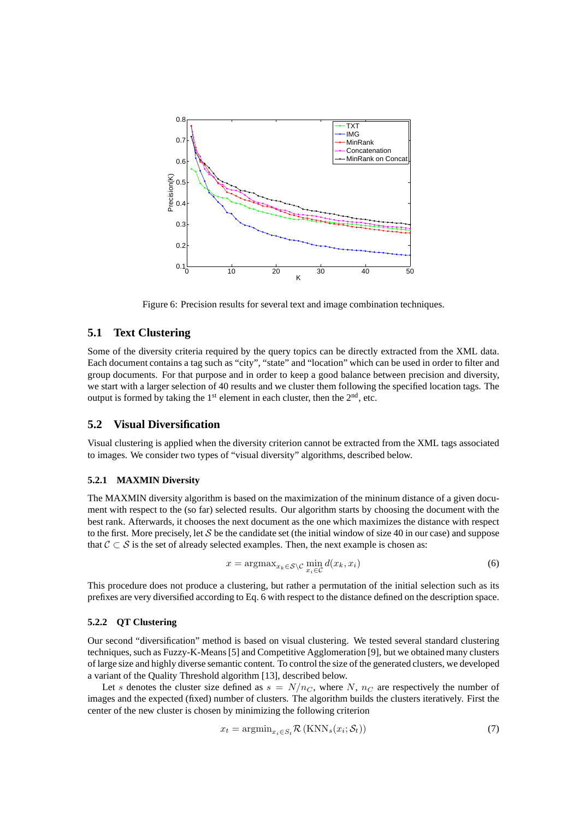

Figure 6: Precision results for several text and image combination techniques.

### **5.1 Text Clustering**

Some of the diversity criteria required by the query topics can be directly extracted from the XML data. Each document contains a tag such as "city", "state" and "location" which can be used in order to filter and group documents. For that purpose and in order to keep a good balance between precision and diversity, we start with a larger selection of 40 results and we cluster them following the specified location tags. The output is formed by taking the  $1<sup>st</sup>$  element in each cluster, then the  $2<sup>nd</sup>$ , etc.

### **5.2 Visual Diversification**

Visual clustering is applied when the diversity criterion cannot be extracted from the XML tags associated to images. We consider two types of "visual diversity" algorithms, described below.

#### **5.2.1 MAXMIN Diversity**

The MAXMIN diversity algorithm is based on the maximization of the mininum distance of a given document with respect to the (so far) selected results. Our algorithm starts by choosing the document with the best rank. Afterwards, it chooses the next document as the one which maximizes the distance with respect to the first. More precisely, let S be the candidate set (the initial window of size 40 in our case) and suppose that  $C \subset S$  is the set of already selected examples. Then, the next example is chosen as:

$$
x = \operatorname{argmax}_{x_k \in \mathcal{S} \setminus \mathcal{C}} \min_{x_i \in \mathcal{C}} d(x_k, x_i)
$$
(6)

This procedure does not produce a clustering, but rather a permutation of the initial selection such as its prefixes are very diversified according to Eq. 6 with respect to the distance defined on the description space.

### **5.2.2 QT Clustering**

Our second "diversification" method is based on visual clustering. We tested several standard clustering techniques, such as Fuzzy-K-Means [5] and Competitive Agglomeration [9], but we obtained many clusters of large size and highly diverse semantic content. To control the size of the generated clusters, we developed a variant of the Quality Threshold algorithm [13], described below.

Let s denotes the cluster size defined as  $s = N/n<sub>C</sub>$ , where N,  $n<sub>C</sub>$  are respectively the number of images and the expected (fixed) number of clusters. The algorithm builds the clusters iteratively. First the center of the new cluster is chosen by minimizing the following criterion

$$
x_t = \operatorname{argmin}_{x_i \in S_t} \mathcal{R}\left(\text{KNN}_s(x_i; \mathcal{S}_t)\right) \tag{7}
$$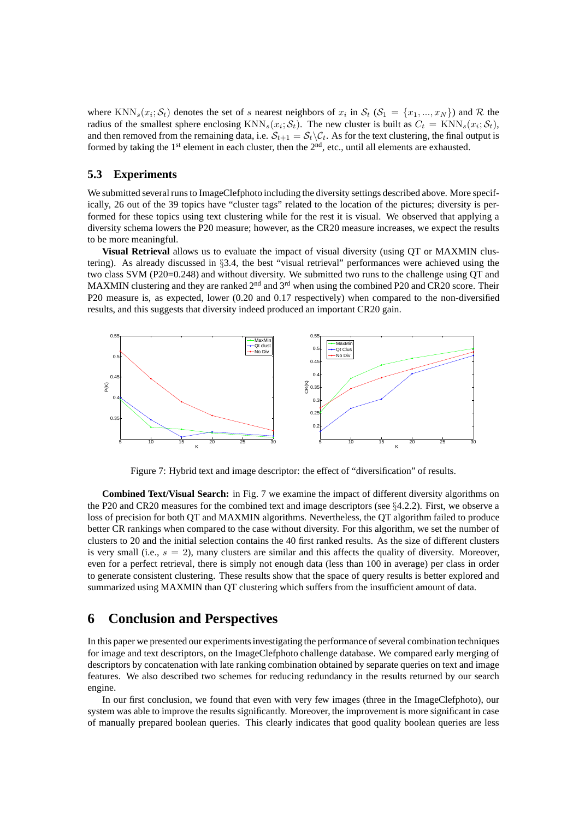where KNN<sub>s</sub> $(x_i; S_t)$  denotes the set of s nearest neighbors of  $x_i$  in  $S_t$   $(S_1 = \{x_1, ..., x_N\})$  and  $R$  the radius of the smallest sphere enclosing  $\text{KNN}_s(x_i; \mathcal{S}_t)$ . The new cluster is built as  $C_t = \text{KNN}_s(x_i; \mathcal{S}_t)$ , and then removed from the remaining data, i.e.  $S_{t+1} = S_t \backslash C_t$ . As for the text clustering, the final output is formed by taking the  $1<sup>st</sup>$  element in each cluster, then the  $2<sup>nd</sup>$ , etc., until all elements are exhausted.

### **5.3 Experiments**

We submitted several runs to ImageClefphoto including the diversity settings described above. More specifically, 26 out of the 39 topics have "cluster tags" related to the location of the pictures; diversity is performed for these topics using text clustering while for the rest it is visual. We observed that applying a diversity schema lowers the P20 measure; however, as the CR20 measure increases, we expect the results to be more meaningful.

**Visual Retrieval** allows us to evaluate the impact of visual diversity (using QT or MAXMIN clustering). As already discussed in §3.4, the best "visual retrieval" performances were achieved using the two class SVM (P20=0.248) and without diversity. We submitted two runs to the challenge using QT and MAXMIN clustering and they are ranked  $2<sup>nd</sup>$  and  $3<sup>rd</sup>$  when using the combined P20 and CR20 score. Their P20 measure is, as expected, lower (0.20 and 0.17 respectively) when compared to the non-diversified results, and this suggests that diversity indeed produced an important CR20 gain.



Figure 7: Hybrid text and image descriptor: the effect of "diversification" of results.

**Combined Text/Visual Search:** in Fig. 7 we examine the impact of different diversity algorithms on the P20 and CR20 measures for the combined text and image descriptors (see §4.2.2). First, we observe a loss of precision for both QT and MAXMIN algorithms. Nevertheless, the QT algorithm failed to produce better CR rankings when compared to the case without diversity. For this algorithm, we set the number of clusters to 20 and the initial selection contains the 40 first ranked results. As the size of different clusters is very small (i.e.,  $s = 2$ ), many clusters are similar and this affects the quality of diversity. Moreover, even for a perfect retrieval, there is simply not enough data (less than 100 in average) per class in order to generate consistent clustering. These results show that the space of query results is better explored and summarized using MAXMIN than QT clustering which suffers from the insufficient amount of data.

# **6 Conclusion and Perspectives**

In this paper we presented our experiments investigating the performance of several combination techniques for image and text descriptors, on the ImageClefphoto challenge database. We compared early merging of descriptors by concatenation with late ranking combination obtained by separate queries on text and image features. We also described two schemes for reducing redundancy in the results returned by our search engine.

In our first conclusion, we found that even with very few images (three in the ImageClefphoto), our system was able to improve the results significantly. Moreover, the improvement is more significant in case of manually prepared boolean queries. This clearly indicates that good quality boolean queries are less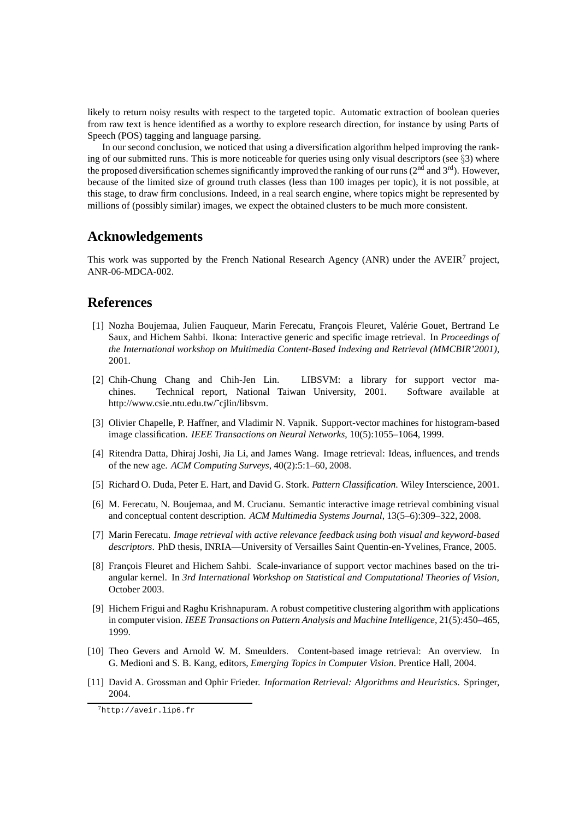likely to return noisy results with respect to the targeted topic. Automatic extraction of boolean queries from raw text is hence identified as a worthy to explore research direction, for instance by using Parts of Speech (POS) tagging and language parsing.

In our second conclusion, we noticed that using a diversification algorithm helped improving the ranking of our submitted runs. This is more noticeable for queries using only visual descriptors (see  $\S$ 3) where the proposed diversification schemes significantly improved the ranking of our runs ( $2<sup>nd</sup>$  and  $3<sup>rd</sup>$ ). However, because of the limited size of ground truth classes (less than 100 images per topic), it is not possible, at this stage, to draw firm conclusions. Indeed, in a real search engine, where topics might be represented by millions of (possibly similar) images, we expect the obtained clusters to be much more consistent.

# **Acknowledgements**

This work was supported by the French National Research Agency (ANR) under the AVEIR<sup>7</sup> project, ANR-06-MDCA-002.

# **References**

- [1] Nozha Boujemaa, Julien Fauqueur, Marin Ferecatu, François Fleuret, Valérie Gouet, Bertrand Le Saux, and Hichem Sahbi. Ikona: Interactive generic and specific image retrieval. In *Proceedings of the International workshop on Multimedia Content-Based Indexing and Retrieval (MMCBIR'2001)*, 2001.
- [2] Chih-Chung Chang and Chih-Jen Lin. LIBSVM: a library for support vector machines. Technical report, National Taiwan University, 2001. Software available at http://www.csie.ntu.edu.tw/˜cjlin/libsvm.
- [3] Olivier Chapelle, P. Haffner, and Vladimir N. Vapnik. Support-vector machines for histogram-based image classification. *IEEE Transactions on Neural Networks*, 10(5):1055–1064, 1999.
- [4] Ritendra Datta, Dhiraj Joshi, Jia Li, and James Wang. Image retrieval: Ideas, influences, and trends of the new age. *ACM Computing Surveys*, 40(2):5:1–60, 2008.
- [5] Richard O. Duda, Peter E. Hart, and David G. Stork. *Pattern Classification*. Wiley Interscience, 2001.
- [6] M. Ferecatu, N. Boujemaa, and M. Crucianu. Semantic interactive image retrieval combining visual and conceptual content description. *ACM Multimedia Systems Journal*, 13(5–6):309–322, 2008.
- [7] Marin Ferecatu. *Image retrieval with active relevance feedback using both visual and keyword-based descriptors*. PhD thesis, INRIA—University of Versailles Saint Quentin-en-Yvelines, France, 2005.
- [8] François Fleuret and Hichem Sahbi. Scale-invariance of support vector machines based on the triangular kernel. In *3rd International Workshop on Statistical and Computational Theories of Vision*, October 2003.
- [9] Hichem Frigui and Raghu Krishnapuram. A robust competitive clustering algorithm with applications in computer vision. *IEEE Transactions on Pattern Analysis and Machine Intelligence*, 21(5):450–465, 1999.
- [10] Theo Gevers and Arnold W. M. Smeulders. Content-based image retrieval: An overview. In G. Medioni and S. B. Kang, editors, *Emerging Topics in Computer Vision*. Prentice Hall, 2004.
- [11] David A. Grossman and Ophir Frieder. *Information Retrieval: Algorithms and Heuristics*. Springer, 2004.

<sup>7</sup>http://aveir.lip6.fr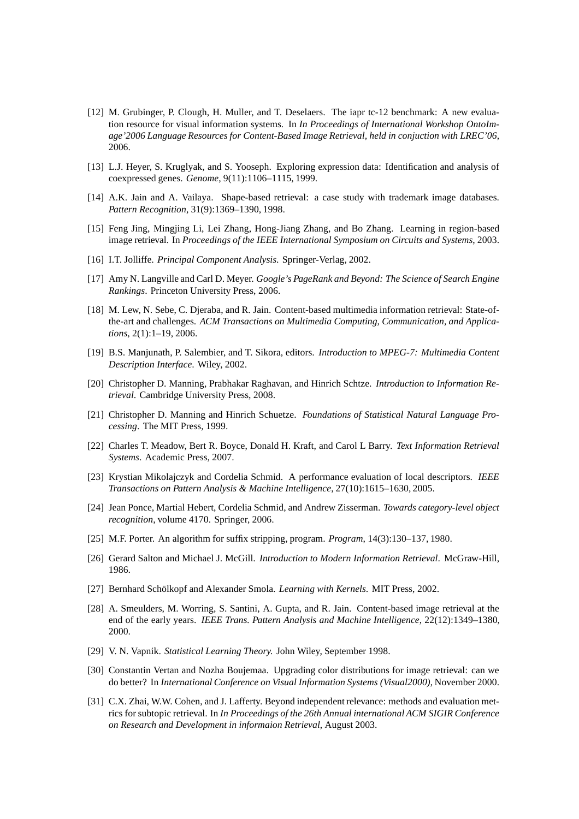- [12] M. Grubinger, P. Clough, H. Muller, and T. Deselaers. The iapr tc-12 benchmark: A new evaluation resource for visual information systems. In *In Proceedings of International Workshop OntoImage'2006 Language Resources for Content-Based Image Retrieval, held in conjuction with LREC'06*, 2006.
- [13] L.J. Heyer, S. Kruglyak, and S. Yooseph. Exploring expression data: Identification and analysis of coexpressed genes. *Genome*, 9(11):1106–1115, 1999.
- [14] A.K. Jain and A. Vailaya. Shape-based retrieval: a case study with trademark image databases. *Pattern Recognition*, 31(9):1369–1390, 1998.
- [15] Feng Jing, Mingjing Li, Lei Zhang, Hong-Jiang Zhang, and Bo Zhang. Learning in region-based image retrieval. In *Proceedings of the IEEE International Symposium on Circuits and Systems*, 2003.
- [16] I.T. Jolliffe. *Principal Component Analysis*. Springer-Verlag, 2002.
- [17] Amy N. Langville and Carl D. Meyer. *Google's PageRank and Beyond: The Science of Search Engine Rankings*. Princeton University Press, 2006.
- [18] M. Lew, N. Sebe, C. Djeraba, and R. Jain. Content-based multimedia information retrieval: State-ofthe-art and challenges. *ACM Transactions on Multimedia Computing, Communication, and Applications*, 2(1):1–19, 2006.
- [19] B.S. Manjunath, P. Salembier, and T. Sikora, editors. *Introduction to MPEG-7: Multimedia Content Description Interface*. Wiley, 2002.
- [20] Christopher D. Manning, Prabhakar Raghavan, and Hinrich Schtze. *Introduction to Information Retrieval*. Cambridge University Press, 2008.
- [21] Christopher D. Manning and Hinrich Schuetze. *Foundations of Statistical Natural Language Processing*. The MIT Press, 1999.
- [22] Charles T. Meadow, Bert R. Boyce, Donald H. Kraft, and Carol L Barry. *Text Information Retrieval Systems*. Academic Press, 2007.
- [23] Krystian Mikolajczyk and Cordelia Schmid. A performance evaluation of local descriptors. *IEEE Transactions on Pattern Analysis & Machine Intelligence*, 27(10):1615–1630, 2005.
- [24] Jean Ponce, Martial Hebert, Cordelia Schmid, and Andrew Zisserman. *Towards category-level object recognition*, volume 4170. Springer, 2006.
- [25] M.F. Porter. An algorithm for suffix stripping, program. *Program*, 14(3):130–137, 1980.
- [26] Gerard Salton and Michael J. McGill. *Introduction to Modern Information Retrieval*. McGraw-Hill, 1986.
- [27] Bernhard Schölkopf and Alexander Smola. *Learning with Kernels*. MIT Press, 2002.
- [28] A. Smeulders, M. Worring, S. Santini, A. Gupta, and R. Jain. Content-based image retrieval at the end of the early years. *IEEE Trans. Pattern Analysis and Machine Intelligence*, 22(12):1349–1380, 2000.
- [29] V. N. Vapnik. *Statistical Learning Theory.* John Wiley, September 1998.
- [30] Constantin Vertan and Nozha Boujemaa. Upgrading color distributions for image retrieval: can we do better? In *International Conference on Visual Information Systems (Visual2000)*, November 2000.
- [31] C.X. Zhai, W.W. Cohen, and J. Lafferty. Beyond independent relevance: methods and evaluation metrics for subtopic retrieval. In *In Proceedings of the 26th Annual international ACM SIGIR Conference on Research and Development in informaion Retrieval*, August 2003.